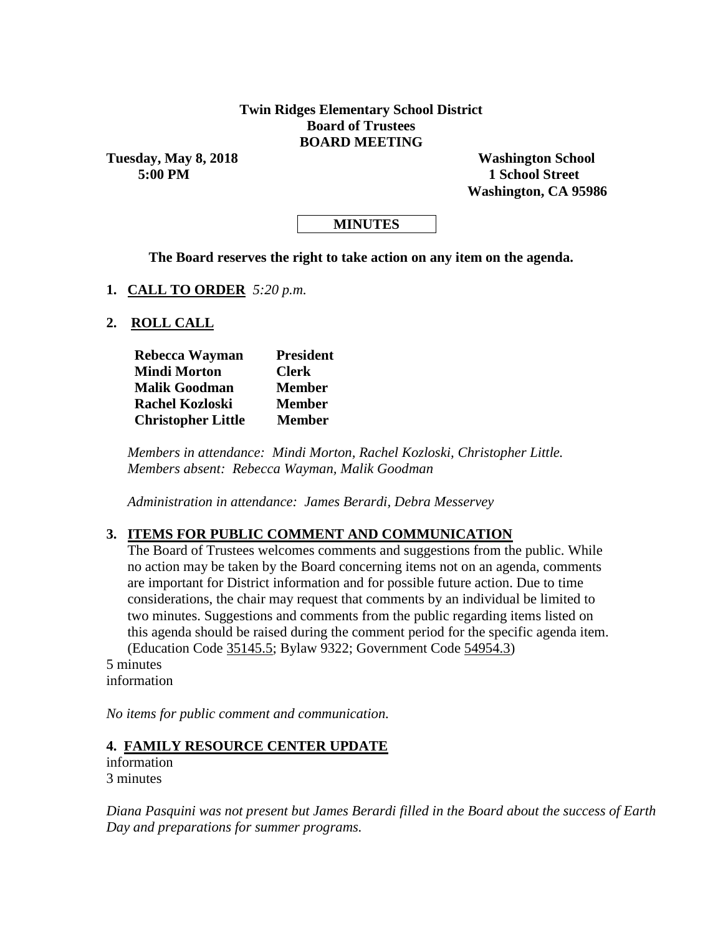### **Twin Ridges Elementary School District Board of Trustees BOARD MEETING**

**Tuesday, May 8, 2018 Washington School**

**5:00 PM 1 School Street Washington, CA 95986**

## **MINUTES**

**The Board reserves the right to take action on any item on the agenda.**

**1. CALL TO ORDER** *5:20 p.m.*

**2. ROLL CALL**

| Rebecca Wayman            | <b>President</b> |  |  |  |
|---------------------------|------------------|--|--|--|
| <b>Mindi Morton</b>       | <b>Clerk</b>     |  |  |  |
| <b>Malik Goodman</b>      | <b>Member</b>    |  |  |  |
| <b>Rachel Kozloski</b>    | <b>Member</b>    |  |  |  |
| <b>Christopher Little</b> | <b>Member</b>    |  |  |  |

*Members in attendance: Mindi Morton, Rachel Kozloski, Christopher Little. Members absent: Rebecca Wayman, Malik Goodman*

*Administration in attendance: James Berardi, Debra Messervey*

### **3. ITEMS FOR PUBLIC COMMENT AND COMMUNICATION**

The Board of Trustees welcomes comments and suggestions from the public. While no action may be taken by the Board concerning items not on an agenda, comments are important for District information and for possible future action. Due to time considerations, the chair may request that comments by an individual be limited to two minutes. Suggestions and comments from the public regarding items listed on this agenda should be raised during the comment period for the specific agenda item. (Education Code 35145.5; Bylaw 9322; Government Code 54954.3)

5 minutes information

*No items for public comment and communication.*

#### **4. FAMILY RESOURCE CENTER UPDATE**

information 3 minutes

*Diana Pasquini was not present but James Berardi filled in the Board about the success of Earth Day and preparations for summer programs.*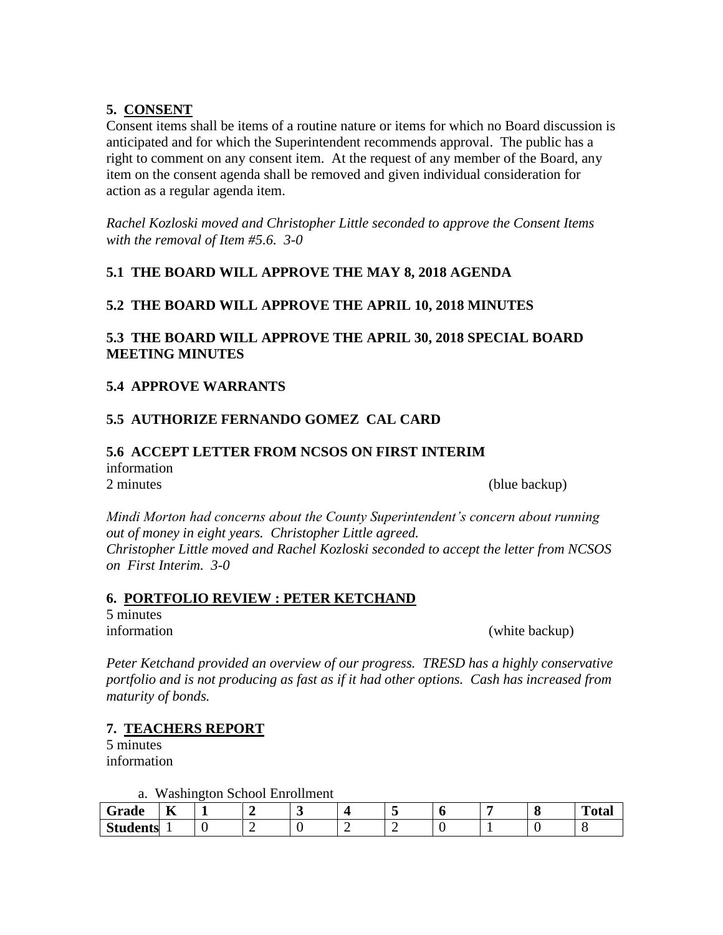### **5. CONSENT**

Consent items shall be items of a routine nature or items for which no Board discussion is anticipated and for which the Superintendent recommends approval. The public has a right to comment on any consent item. At the request of any member of the Board, any item on the consent agenda shall be removed and given individual consideration for action as a regular agenda item.

*Rachel Kozloski moved and Christopher Little seconded to approve the Consent Items with the removal of Item #5.6. 3-0*

## **5.1 THE BOARD WILL APPROVE THE MAY 8, 2018 AGENDA**

### **5.2 THE BOARD WILL APPROVE THE APRIL 10, 2018 MINUTES**

## **5.3 THE BOARD WILL APPROVE THE APRIL 30, 2018 SPECIAL BOARD MEETING MINUTES**

### **5.4 APPROVE WARRANTS**

### **5.5 AUTHORIZE FERNANDO GOMEZ CAL CARD**

### **5.6 ACCEPT LETTER FROM NCSOS ON FIRST INTERIM** information 2 minutes (blue backup)

*Mindi Morton had concerns about the County Superintendent's concern about running out of money in eight years. Christopher Little agreed. Christopher Little moved and Rachel Kozloski seconded to accept the letter from NCSOS on First Interim. 3-0*

### **6. PORTFOLIO REVIEW : PETER KETCHAND**

5 minutes

information (white backup)

*Peter Ketchand provided an overview of our progress. TRESD has a highly conservative portfolio and is not producing as fast as if it had other options. Cash has increased from maturity of bonds.*

## **7. TEACHERS REPORT**

5 minutes information

a. Washington School Enrollment

| -<br>Grade      | $-$<br>A | - |     |  |  | $\epsilon$ | <b>TIME</b><br>$-$<br>vıaı |
|-----------------|----------|---|-----|--|--|------------|----------------------------|
| <b>Students</b> |          |   | . . |  |  |            |                            |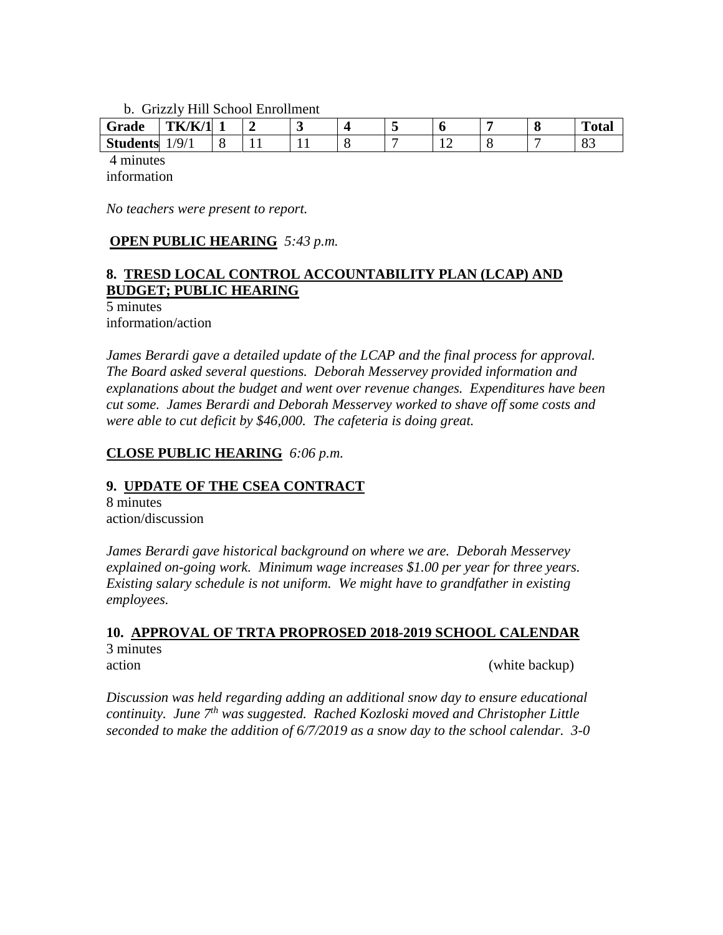b. Grizzly Hill School Enrollment

| $\sim$<br>Grade | TK/K<br>$\sqrt{1}$                  | --  | ັ |  |  | u | <b>CONTRACTOR</b><br>'otal |
|-----------------|-------------------------------------|-----|---|--|--|---|----------------------------|
| <b>Students</b> | $\overline{Q}_l$<br><u>,</u><br>. . | . . |   |  |  | - | v.,                        |

4 minutes information

*No teachers were present to report.*

## **OPEN PUBLIC HEARING** *5:43 p.m.*

## **8. TRESD LOCAL CONTROL ACCOUNTABILITY PLAN (LCAP) AND BUDGET; PUBLIC HEARING**

5 minutes information/action

*James Berardi gave a detailed update of the LCAP and the final process for approval. The Board asked several questions. Deborah Messervey provided information and explanations about the budget and went over revenue changes. Expenditures have been cut some. James Berardi and Deborah Messervey worked to shave off some costs and were able to cut deficit by \$46,000. The cafeteria is doing great.*

### **CLOSE PUBLIC HEARING** *6:06 p.m.*

### **9. UPDATE OF THE CSEA CONTRACT**

8 minutes action/discussion

*James Berardi gave historical background on where we are. Deborah Messervey explained on-going work. Minimum wage increases \$1.00 per year for three years. Existing salary schedule is not uniform. We might have to grandfather in existing employees.*

#### **10. APPROVAL OF TRTA PROPROSED 2018-2019 SCHOOL CALENDAR** 3 minutes action (white backup)

*Discussion was held regarding adding an additional snow day to ensure educational continuity. June 7th was suggested. Rached Kozloski moved and Christopher Little seconded to make the addition of 6/7/2019 as a snow day to the school calendar. 3-0*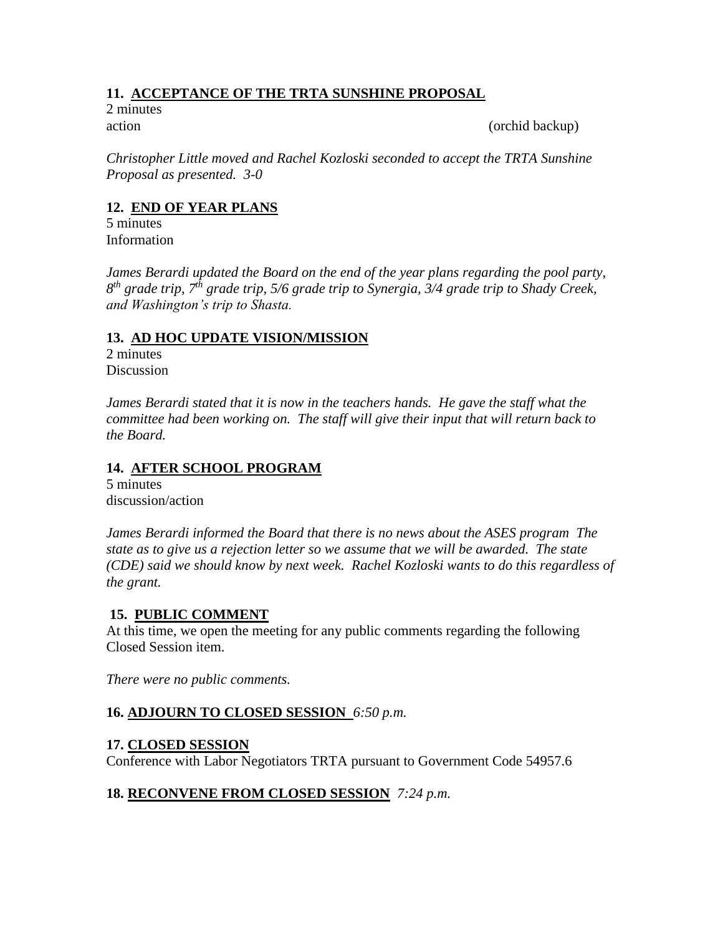# **11. ACCEPTANCE OF THE TRTA SUNSHINE PROPOSAL**

2 minutes

action (orchid backup)

*Christopher Little moved and Rachel Kozloski seconded to accept the TRTA Sunshine Proposal as presented. 3-0*

# **12. END OF YEAR PLANS**

5 minutes Information

James Berardi updated the Board on the end of the year plans regarding the pool party, *8 th grade trip, 7th grade trip, 5/6 grade trip to Synergia, 3/4 grade trip to Shady Creek, and Washington's trip to Shasta.*

### **13. AD HOC UPDATE VISION/MISSION**

2 minutes **Discussion** 

James Berardi stated that it is now in the teachers hands. He gave the staff what the *committee had been working on. The staff will give their input that will return back to the Board.*

# **14. AFTER SCHOOL PROGRAM**

5 minutes discussion/action

*James Berardi informed the Board that there is no news about the ASES program The state as to give us a rejection letter so we assume that we will be awarded. The state (CDE) said we should know by next week. Rachel Kozloski wants to do this regardless of the grant.*

## **15. PUBLIC COMMENT**

At this time, we open the meeting for any public comments regarding the following Closed Session item.

*There were no public comments.*

## **16. ADJOURN TO CLOSED SESSION** *6:50 p.m.*

## **17. CLOSED SESSION**

Conference with Labor Negotiators TRTA pursuant to Government Code 54957.6

## **18. RECONVENE FROM CLOSED SESSION** *7:24 p.m.*